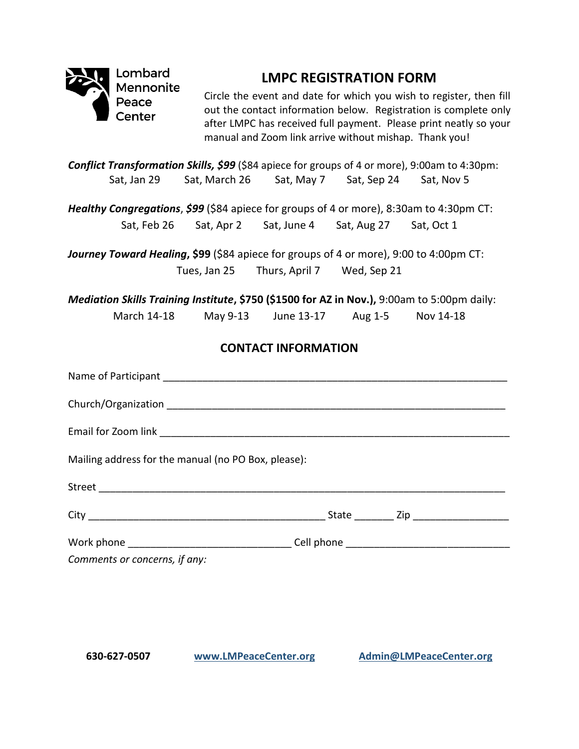

## **LMPC REGISTRATION FORM**

Circle the event and date for which you wish to register, then fill out the contact information below. Registration is complete only after LMPC has received full payment. Please print neatly so your manual and Zoom link arrive without mishap. Thank you!

*Conflict Transformation Skills, \$99* (\$84 apiece for groups of 4 or more), 9:00am to 4:30pm: Sat, Jan 29 Sat, March 26 Sat, May 7 Sat, Sep 24 Sat, Nov 5

*Healthy Congregations*, *\$99* (\$84 apiece for groups of 4 or more), 8:30am to 4:30pm CT: Sat, Feb 26 Sat, Apr 2 Sat, June 4 Sat, Aug 27 Sat, Oct 1

*Journey Toward Healing***, \$99** (\$84 apiece for groups of 4 or more), 9:00 to 4:00pm CT: Tues, Jan 25 Thurs, April 7 Wed, Sep 21

*Mediation Skills Training Institute***, \$750 (\$1500 for AZ in Nov.),** 9:00am to 5:00pm daily: March 14-18 May 9-13 June 13-17 Aug 1-5 Nov 14-18

## **CONTACT INFORMATION**

| Mailing address for the manual (no PO Box, please): |  |
|-----------------------------------------------------|--|
|                                                     |  |
|                                                     |  |
|                                                     |  |
| Comments or concerns, if any:                       |  |

**630-627-0507 [www.LMPeaceCenter.org](http://www.lmpeacecenter.org/) [Admin@LMPeaceCenter.org](mailto:Admin@LMPeaceCenter.org)**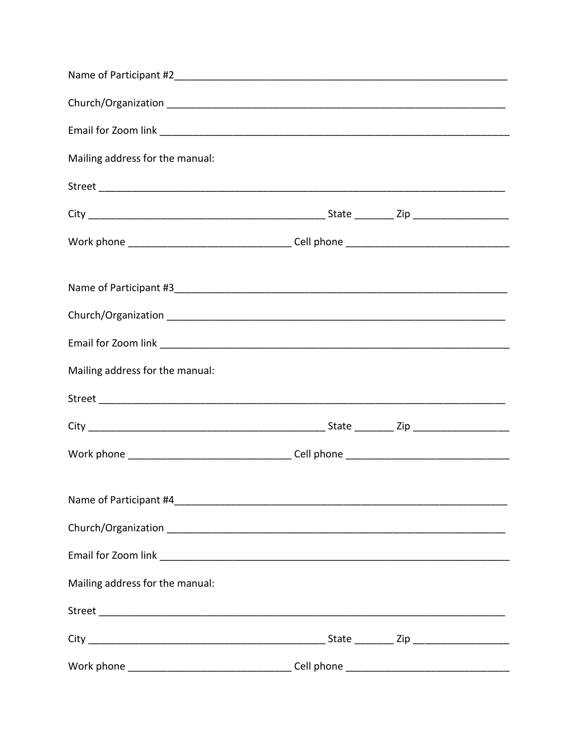| Mailing address for the manual: |  |  |
|---------------------------------|--|--|
|                                 |  |  |
|                                 |  |  |
|                                 |  |  |
|                                 |  |  |
|                                 |  |  |
|                                 |  |  |
| Mailing address for the manual: |  |  |
|                                 |  |  |
|                                 |  |  |
|                                 |  |  |
|                                 |  |  |
|                                 |  |  |
|                                 |  |  |
| Mailing address for the manual: |  |  |
|                                 |  |  |
|                                 |  |  |
|                                 |  |  |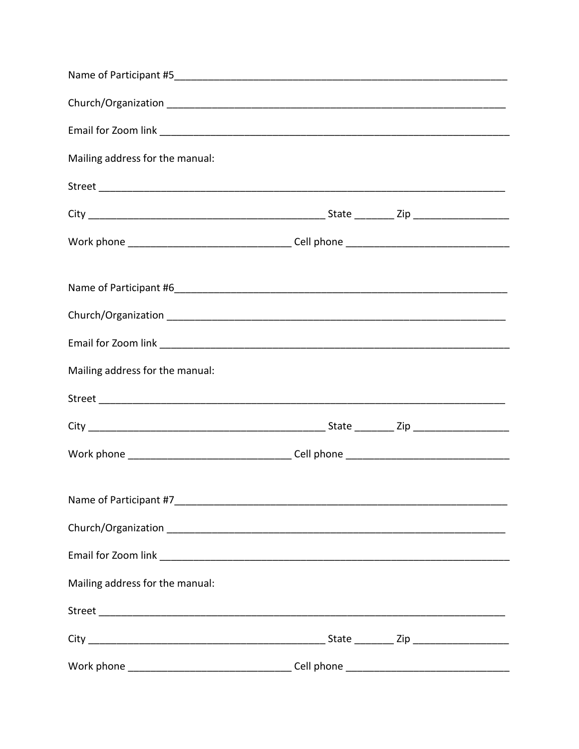| Mailing address for the manual: |  |  |
|---------------------------------|--|--|
|                                 |  |  |
|                                 |  |  |
|                                 |  |  |
|                                 |  |  |
|                                 |  |  |
|                                 |  |  |
|                                 |  |  |
| Mailing address for the manual: |  |  |
|                                 |  |  |
|                                 |  |  |
|                                 |  |  |
|                                 |  |  |
|                                 |  |  |
|                                 |  |  |
|                                 |  |  |
| Mailing address for the manual: |  |  |
|                                 |  |  |
|                                 |  |  |
|                                 |  |  |